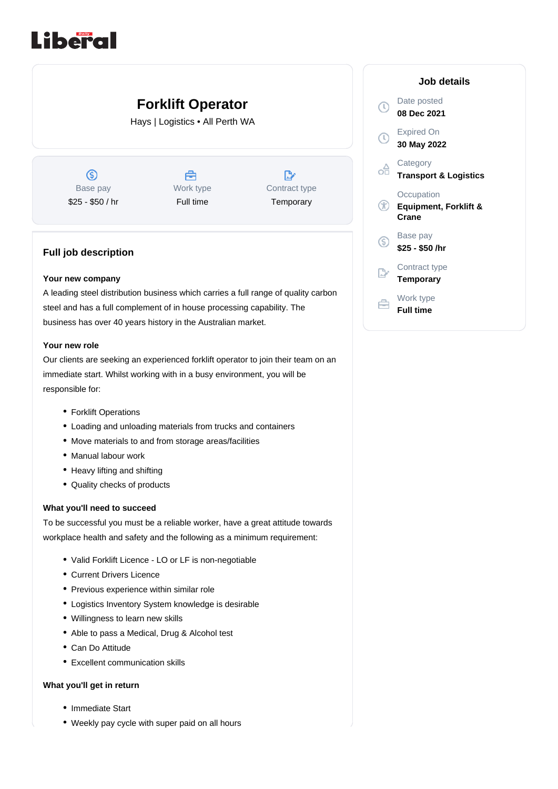# Liberal

## **Forklift Operator**

Hays | Logistics • All Perth WA

 $\circledS$ Base pay \$25 - \$50 / hr



| L             |
|---------------|
| Contract type |
| Temporary     |

### **Full job description**

#### **Your new company**

A leading steel distribution business which carries a full range of quality carbon steel and has a full complement of in house processing capability. The business has over 40 years history in the Australian market.

#### **Your new role**

Our clients are seeking an experienced forklift operator to join their team on an immediate start. Whilst working with in a busy environment, you will be responsible for:

- Forklift Operations
- Loading and unloading materials from trucks and containers
- Move materials to and from storage areas/facilities
- Manual labour work
- Heavy lifting and shifting
- Quality checks of products

#### **What you'll need to succeed**

To be successful you must be a reliable worker, have a great attitude towards workplace health and safety and the following as a minimum requirement:

- Valid Forklift Licence LO or LF is non-negotiable
- Current Drivers Licence
- Previous experience within similar role
- Logistics Inventory System knowledge is desirable
- Willingness to learn new skills
- Able to pass a Medical, Drug & Alcohol test
- Can Do Attitude
- Excellent communication skills

#### **What you'll get in return**

- Immediate Start
- Weekly pay cycle with super paid on all hours

|    | Job details                                             |
|----|---------------------------------------------------------|
|    | Date posted<br>08 Dec 2021                              |
|    | <b>Expired On</b><br>30 May 2022                        |
|    | Category<br><b>Transport &amp; Logistics</b>            |
|    | Occupation<br><b>Equipment, Forklift &amp;</b><br>Crane |
| G, | Base pay<br>\$25 - \$50 /hr                             |
|    | Contract type<br>Temporary                              |
|    | Work type<br>Full time                                  |